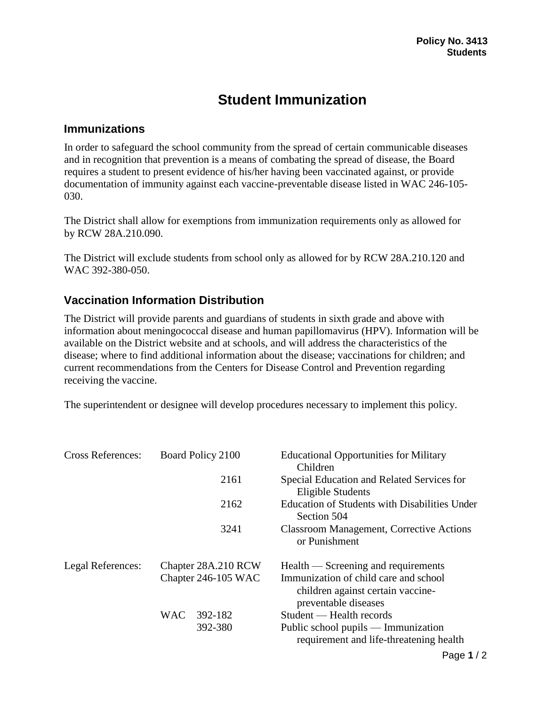## **Student Immunization**

## **Immunizations**

In order to safeguard the school community from the spread of certain communicable diseases and in recognition that prevention is a means of combating the spread of disease, the Board requires a student to present evidence of his/her having been vaccinated against, or provide documentation of immunity against each vaccine-preventable disease listed in WAC 246-105- 030.

The District shall allow for exemptions from immunization requirements only as allowed for by RCW 28A.210.090.

The District will exclude students from school only as allowed for by RCW 28A.210.120 and WAC 392-380-050.

## **Vaccination Information Distribution**

The District will provide parents and guardians of students in sixth grade and above with information about meningococcal disease and human papillomavirus (HPV). Information will be available on the District website and at schools, and will address the characteristics of the disease; where to find additional information about the disease; vaccinations for children; and current recommendations from the Centers for Disease Control and Prevention regarding receiving the vaccine.

The superintendent or designee will develop procedures necessary to implement this policy.

| <b>Cross References:</b> | Board Policy 2100                | <b>Educational Opportunities for Military</b><br>Children                                                  |
|--------------------------|----------------------------------|------------------------------------------------------------------------------------------------------------|
|                          | 2161                             | Special Education and Related Services for<br><b>Eligible Students</b>                                     |
|                          | 2162                             | Education of Students with Disabilities Under<br>Section 504                                               |
|                          | 3241                             | <b>Classroom Management, Corrective Actions</b><br>or Punishment                                           |
| Legal References:        | Chapter 28A.210 RCW              | Health — Screening and requirements                                                                        |
|                          | Chapter 246-105 WAC              | Immunization of child care and school<br>children against certain vaccine-<br>preventable diseases         |
|                          | <b>WAC</b><br>392-182<br>392-380 | Student — Health records<br>Public school pupils — Immunization<br>requirement and life-threatening health |